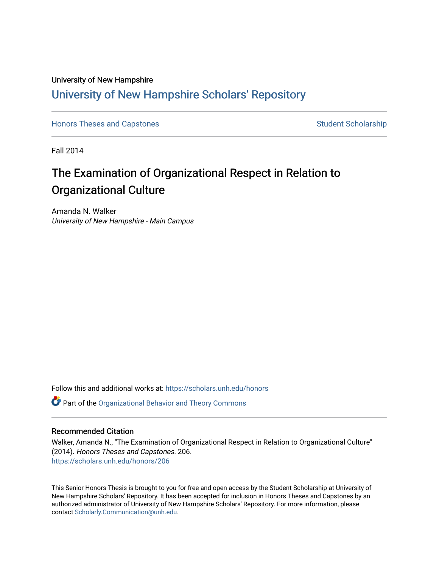### University of New Hampshire [University of New Hampshire Scholars' Repository](https://scholars.unh.edu/)

[Honors Theses and Capstones](https://scholars.unh.edu/honors) [Student Scholarship](https://scholars.unh.edu/student) Student Scholarship

Fall 2014

### The Examination of Organizational Respect in Relation to Organizational Culture

Amanda N. Walker University of New Hampshire - Main Campus

Follow this and additional works at: [https://scholars.unh.edu/honors](https://scholars.unh.edu/honors?utm_source=scholars.unh.edu%2Fhonors%2F206&utm_medium=PDF&utm_campaign=PDFCoverPages) 

Part of the [Organizational Behavior and Theory Commons](http://network.bepress.com/hgg/discipline/639?utm_source=scholars.unh.edu%2Fhonors%2F206&utm_medium=PDF&utm_campaign=PDFCoverPages) 

#### Recommended Citation

Walker, Amanda N., "The Examination of Organizational Respect in Relation to Organizational Culture" (2014). Honors Theses and Capstones. 206. [https://scholars.unh.edu/honors/206](https://scholars.unh.edu/honors/206?utm_source=scholars.unh.edu%2Fhonors%2F206&utm_medium=PDF&utm_campaign=PDFCoverPages) 

This Senior Honors Thesis is brought to you for free and open access by the Student Scholarship at University of New Hampshire Scholars' Repository. It has been accepted for inclusion in Honors Theses and Capstones by an authorized administrator of University of New Hampshire Scholars' Repository. For more information, please contact [Scholarly.Communication@unh.edu.](mailto:Scholarly.Communication@unh.edu)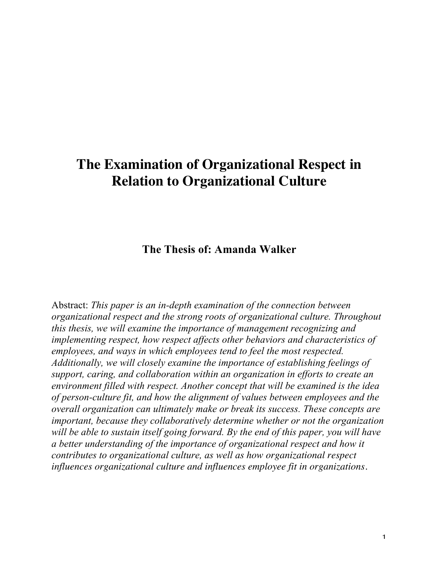## **The Examination of Organizational Respect in Relation to Organizational Culture**

**The Thesis of: Amanda Walker**

Abstract: *This paper is an in-depth examination of the connection between organizational respect and the strong roots of organizational culture. Throughout this thesis, we will examine the importance of management recognizing and implementing respect, how respect affects other behaviors and characteristics of employees, and ways in which employees tend to feel the most respected. Additionally, we will closely examine the importance of establishing feelings of support, caring, and collaboration within an organization in efforts to create an environment filled with respect. Another concept that will be examined is the idea of person-culture fit, and how the alignment of values between employees and the overall organization can ultimately make or break its success. These concepts are important, because they collaboratively determine whether or not the organization will be able to sustain itself going forward. By the end of this paper, you will have a better understanding of the importance of organizational respect and how it contributes to organizational culture, as well as how organizational respect influences organizational culture and influences employee fit in organizations.*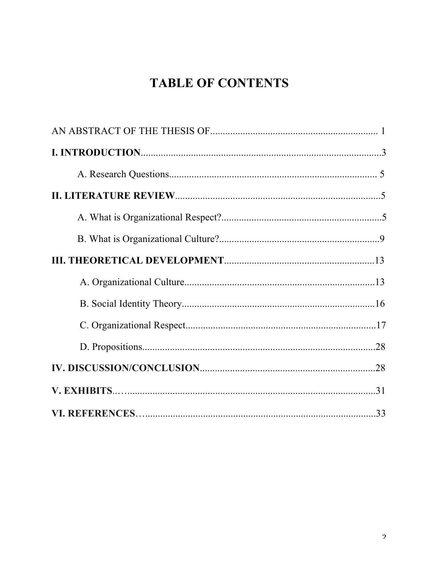# **TABLE OF CONTENTS**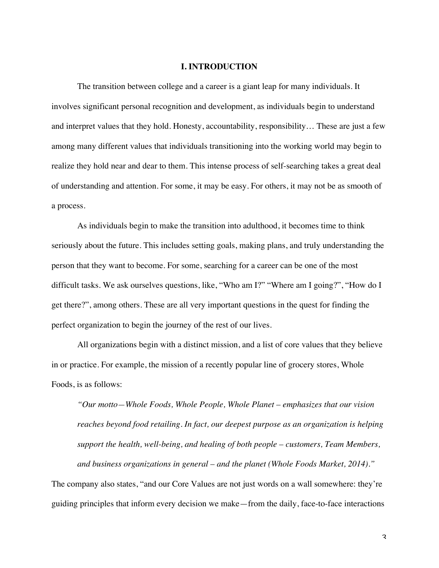#### **I. INTRODUCTION**

The transition between college and a career is a giant leap for many individuals. It involves significant personal recognition and development, as individuals begin to understand and interpret values that they hold. Honesty, accountability, responsibility… These are just a few among many different values that individuals transitioning into the working world may begin to realize they hold near and dear to them. This intense process of self-searching takes a great deal of understanding and attention. For some, it may be easy. For others, it may not be as smooth of a process.

As individuals begin to make the transition into adulthood, it becomes time to think seriously about the future. This includes setting goals, making plans, and truly understanding the person that they want to become. For some, searching for a career can be one of the most difficult tasks. We ask ourselves questions, like, "Who am I?" "Where am I going?", "How do I get there?", among others. These are all very important questions in the quest for finding the perfect organization to begin the journey of the rest of our lives.

All organizations begin with a distinct mission, and a list of core values that they believe in or practice. For example, the mission of a recently popular line of grocery stores, Whole Foods, is as follows:

*"Our motto—Whole Foods, Whole People, Whole Planet – emphasizes that our vision reaches beyond food retailing. In fact, our deepest purpose as an organization is helping support the health, well-being, and healing of both people – customers, Team Members, and business organizations in general – and the planet (Whole Foods Market, 2014)."*  The company also states, "and our Core Values are not just words on a wall somewhere: they're

guiding principles that inform every decision we make—from the daily, face-to-face interactions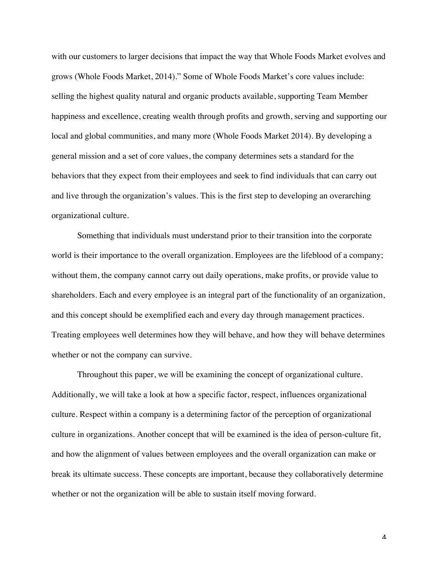with our customers to larger decisions that impact the way that Whole Foods Market evolves and grows (Whole Foods Market, 2014)." Some of Whole Foods Market's core values include: selling the highest quality natural and organic products available, supporting Team Member happiness and excellence, creating wealth through profits and growth, serving and supporting our local and global communities, and many more (Whole Foods Market 2014). By developing a general mission and a set of core values, the company determines sets a standard for the behaviors that they expect from their employees and seek to find individuals that can carry out and live through the organization's values. This is the first step to developing an overarching organizational culture.

Something that individuals must understand prior to their transition into the corporate world is their importance to the overall organization. Employees are the lifeblood of a company; without them, the company cannot carry out daily operations, make profits, or provide value to shareholders. Each and every employee is an integral part of the functionality of an organization, and this concept should be exemplified each and every day through management practices. Treating employees well determines how they will behave, and how they will behave determines whether or not the company can survive.

Throughout this paper, we will be examining the concept of organizational culture. Additionally, we will take a look at how a specific factor, respect, influences organizational culture. Respect within a company is a determining factor of the perception of organizational culture in organizations. Another concept that will be examined is the idea of person-culture fit, and how the alignment of values between employees and the overall organization can make or break its ultimate success. These concepts are important, because they collaboratively determine whether or not the organization will be able to sustain itself moving forward.

 $\boldsymbol{\varLambda}$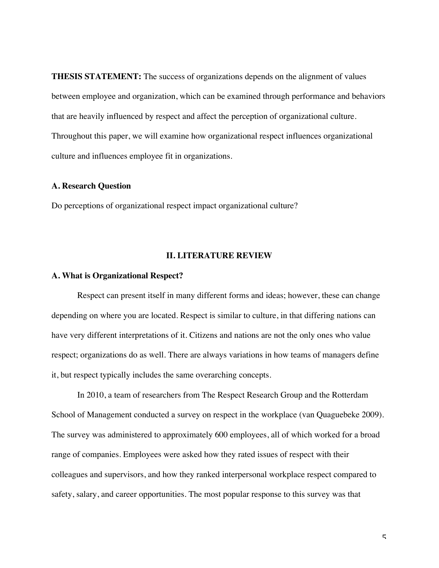**THESIS STATEMENT:** The success of organizations depends on the alignment of values between employee and organization, which can be examined through performance and behaviors that are heavily influenced by respect and affect the perception of organizational culture. Throughout this paper, we will examine how organizational respect influences organizational culture and influences employee fit in organizations.

#### **A. Research Question**

Do perceptions of organizational respect impact organizational culture?

#### **II. LITERATURE REVIEW**

#### **A. What is Organizational Respect?**

Respect can present itself in many different forms and ideas; however, these can change depending on where you are located. Respect is similar to culture, in that differing nations can have very different interpretations of it. Citizens and nations are not the only ones who value respect; organizations do as well. There are always variations in how teams of managers define it, but respect typically includes the same overarching concepts.

In 2010, a team of researchers from The Respect Research Group and the Rotterdam School of Management conducted a survey on respect in the workplace (van Quaguebeke 2009). The survey was administered to approximately 600 employees, all of which worked for a broad range of companies. Employees were asked how they rated issues of respect with their colleagues and supervisors, and how they ranked interpersonal workplace respect compared to safety, salary, and career opportunities. The most popular response to this survey was that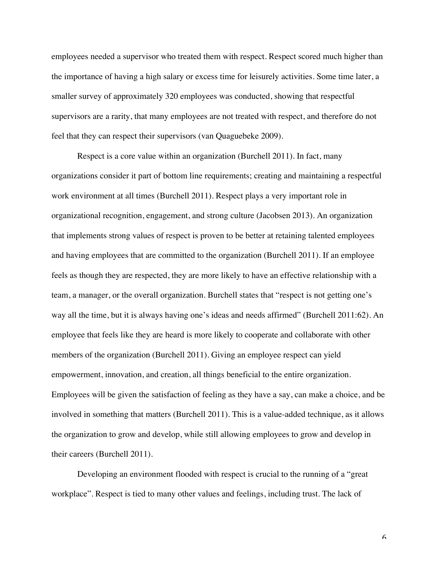employees needed a supervisor who treated them with respect. Respect scored much higher than the importance of having a high salary or excess time for leisurely activities. Some time later, a smaller survey of approximately 320 employees was conducted, showing that respectful supervisors are a rarity, that many employees are not treated with respect, and therefore do not feel that they can respect their supervisors (van Quaguebeke 2009).

Respect is a core value within an organization (Burchell 2011). In fact, many organizations consider it part of bottom line requirements; creating and maintaining a respectful work environment at all times (Burchell 2011). Respect plays a very important role in organizational recognition, engagement, and strong culture (Jacobsen 2013). An organization that implements strong values of respect is proven to be better at retaining talented employees and having employees that are committed to the organization (Burchell 2011). If an employee feels as though they are respected, they are more likely to have an effective relationship with a team, a manager, or the overall organization. Burchell states that "respect is not getting one's way all the time, but it is always having one's ideas and needs affirmed" (Burchell 2011:62). An employee that feels like they are heard is more likely to cooperate and collaborate with other members of the organization (Burchell 2011). Giving an employee respect can yield empowerment, innovation, and creation, all things beneficial to the entire organization. Employees will be given the satisfaction of feeling as they have a say, can make a choice, and be involved in something that matters (Burchell 2011). This is a value-added technique, as it allows the organization to grow and develop, while still allowing employees to grow and develop in their careers (Burchell 2011).

Developing an environment flooded with respect is crucial to the running of a "great workplace". Respect is tied to many other values and feelings, including trust. The lack of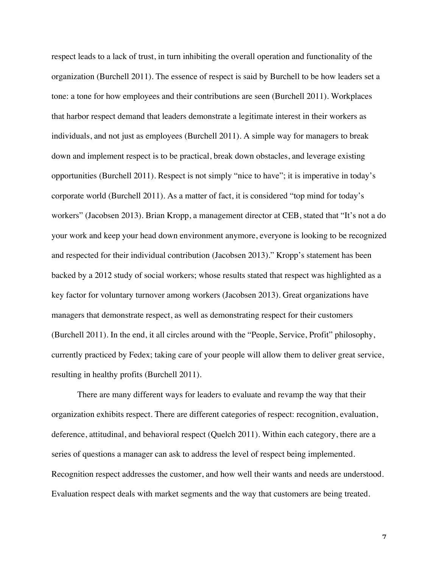respect leads to a lack of trust, in turn inhibiting the overall operation and functionality of the organization (Burchell 2011). The essence of respect is said by Burchell to be how leaders set a tone: a tone for how employees and their contributions are seen (Burchell 2011). Workplaces that harbor respect demand that leaders demonstrate a legitimate interest in their workers as individuals, and not just as employees (Burchell 2011). A simple way for managers to break down and implement respect is to be practical, break down obstacles, and leverage existing opportunities (Burchell 2011). Respect is not simply "nice to have"; it is imperative in today's corporate world (Burchell 2011). As a matter of fact, it is considered "top mind for today's workers" (Jacobsen 2013). Brian Kropp, a management director at CEB, stated that "It's not a do your work and keep your head down environment anymore, everyone is looking to be recognized and respected for their individual contribution (Jacobsen 2013)." Kropp's statement has been backed by a 2012 study of social workers; whose results stated that respect was highlighted as a key factor for voluntary turnover among workers (Jacobsen 2013). Great organizations have managers that demonstrate respect, as well as demonstrating respect for their customers (Burchell 2011). In the end, it all circles around with the "People, Service, Profit" philosophy, currently practiced by Fedex; taking care of your people will allow them to deliver great service, resulting in healthy profits (Burchell 2011).

There are many different ways for leaders to evaluate and revamp the way that their organization exhibits respect. There are different categories of respect: recognition, evaluation, deference, attitudinal, and behavioral respect (Quelch 2011). Within each category, there are a series of questions a manager can ask to address the level of respect being implemented. Recognition respect addresses the customer, and how well their wants and needs are understood. Evaluation respect deals with market segments and the way that customers are being treated.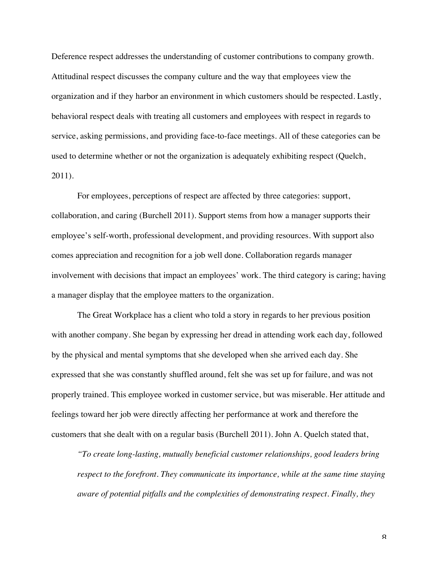Deference respect addresses the understanding of customer contributions to company growth. Attitudinal respect discusses the company culture and the way that employees view the organization and if they harbor an environment in which customers should be respected. Lastly, behavioral respect deals with treating all customers and employees with respect in regards to service, asking permissions, and providing face-to-face meetings. All of these categories can be used to determine whether or not the organization is adequately exhibiting respect (Quelch, 2011).

For employees, perceptions of respect are affected by three categories: support, collaboration, and caring (Burchell 2011). Support stems from how a manager supports their employee's self-worth, professional development, and providing resources. With support also comes appreciation and recognition for a job well done. Collaboration regards manager involvement with decisions that impact an employees' work. The third category is caring; having a manager display that the employee matters to the organization.

The Great Workplace has a client who told a story in regards to her previous position with another company. She began by expressing her dread in attending work each day, followed by the physical and mental symptoms that she developed when she arrived each day. She expressed that she was constantly shuffled around, felt she was set up for failure, and was not properly trained. This employee worked in customer service, but was miserable. Her attitude and feelings toward her job were directly affecting her performance at work and therefore the customers that she dealt with on a regular basis (Burchell 2011). John A. Quelch stated that,

*"To create long-lasting, mutually beneficial customer relationships, good leaders bring respect to the forefront. They communicate its importance, while at the same time staying aware of potential pitfalls and the complexities of demonstrating respect. Finally, they* 

 ${\mathsf R}$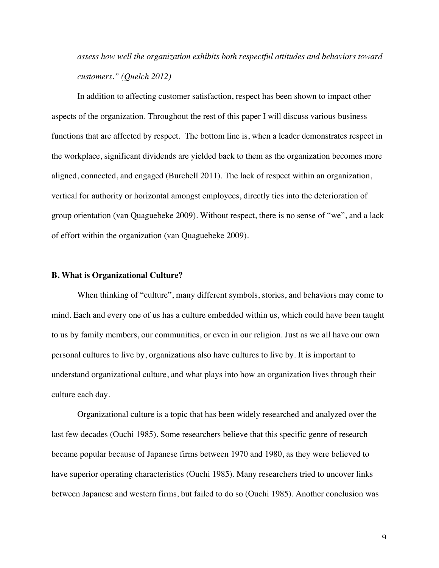*assess how well the organization exhibits both respectful attitudes and behaviors toward customers." (Quelch 2012)*

In addition to affecting customer satisfaction, respect has been shown to impact other aspects of the organization. Throughout the rest of this paper I will discuss various business functions that are affected by respect. The bottom line is, when a leader demonstrates respect in the workplace, significant dividends are yielded back to them as the organization becomes more aligned, connected, and engaged (Burchell 2011). The lack of respect within an organization, vertical for authority or horizontal amongst employees, directly ties into the deterioration of group orientation (van Quaguebeke 2009). Without respect, there is no sense of "we", and a lack of effort within the organization (van Quaguebeke 2009).

#### **B. What is Organizational Culture?**

When thinking of "culture", many different symbols, stories, and behaviors may come to mind. Each and every one of us has a culture embedded within us, which could have been taught to us by family members, our communities, or even in our religion. Just as we all have our own personal cultures to live by, organizations also have cultures to live by. It is important to understand organizational culture, and what plays into how an organization lives through their culture each day.

Organizational culture is a topic that has been widely researched and analyzed over the last few decades (Ouchi 1985). Some researchers believe that this specific genre of research became popular because of Japanese firms between 1970 and 1980, as they were believed to have superior operating characteristics (Ouchi 1985). Many researchers tried to uncover links between Japanese and western firms, but failed to do so (Ouchi 1985). Another conclusion was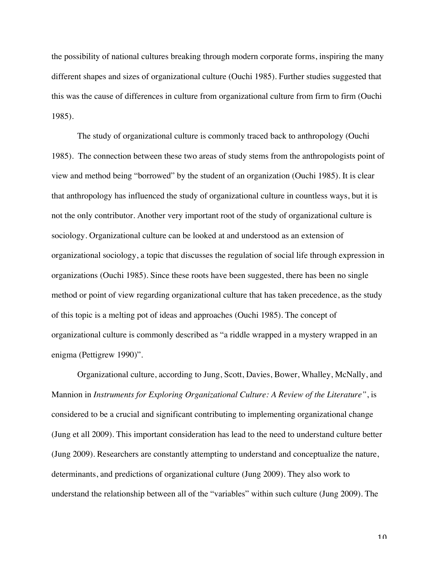the possibility of national cultures breaking through modern corporate forms, inspiring the many different shapes and sizes of organizational culture (Ouchi 1985). Further studies suggested that this was the cause of differences in culture from organizational culture from firm to firm (Ouchi 1985).

The study of organizational culture is commonly traced back to anthropology (Ouchi 1985). The connection between these two areas of study stems from the anthropologists point of view and method being "borrowed" by the student of an organization (Ouchi 1985). It is clear that anthropology has influenced the study of organizational culture in countless ways, but it is not the only contributor. Another very important root of the study of organizational culture is sociology. Organizational culture can be looked at and understood as an extension of organizational sociology, a topic that discusses the regulation of social life through expression in organizations (Ouchi 1985). Since these roots have been suggested, there has been no single method or point of view regarding organizational culture that has taken precedence, as the study of this topic is a melting pot of ideas and approaches (Ouchi 1985). The concept of organizational culture is commonly described as "a riddle wrapped in a mystery wrapped in an enigma (Pettigrew 1990)".

Organizational culture, according to Jung, Scott, Davies, Bower, Whalley, McNally, and Mannion in *Instruments for Exploring Organizational Culture: A Review of the Literature"*, is considered to be a crucial and significant contributing to implementing organizational change (Jung et all 2009). This important consideration has lead to the need to understand culture better (Jung 2009). Researchers are constantly attempting to understand and conceptualize the nature, determinants, and predictions of organizational culture (Jung 2009). They also work to understand the relationship between all of the "variables" within such culture (Jung 2009). The

 $1<sub>0</sub>$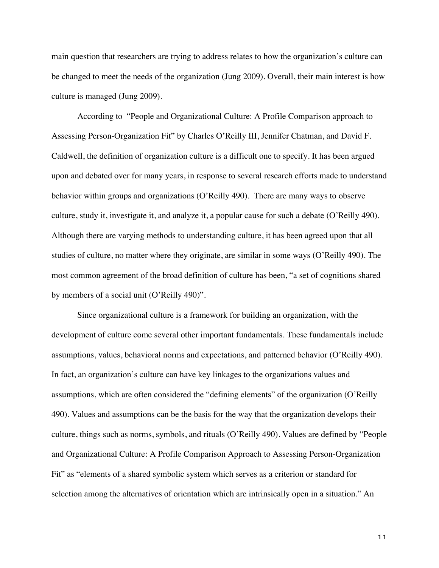main question that researchers are trying to address relates to how the organization's culture can be changed to meet the needs of the organization (Jung 2009). Overall, their main interest is how culture is managed (Jung 2009).

According to "People and Organizational Culture: A Profile Comparison approach to Assessing Person-Organization Fit" by Charles O'Reilly III, Jennifer Chatman, and David F. Caldwell, the definition of organization culture is a difficult one to specify. It has been argued upon and debated over for many years, in response to several research efforts made to understand behavior within groups and organizations (O'Reilly 490). There are many ways to observe culture, study it, investigate it, and analyze it, a popular cause for such a debate (O'Reilly 490). Although there are varying methods to understanding culture, it has been agreed upon that all studies of culture, no matter where they originate, are similar in some ways (O'Reilly 490). The most common agreement of the broad definition of culture has been, "a set of cognitions shared by members of a social unit (O'Reilly 490)".

Since organizational culture is a framework for building an organization, with the development of culture come several other important fundamentals. These fundamentals include assumptions, values, behavioral norms and expectations, and patterned behavior (O'Reilly 490). In fact, an organization's culture can have key linkages to the organizations values and assumptions, which are often considered the "defining elements" of the organization (O'Reilly 490). Values and assumptions can be the basis for the way that the organization develops their culture, things such as norms, symbols, and rituals (O'Reilly 490). Values are defined by "People and Organizational Culture: A Profile Comparison Approach to Assessing Person-Organization Fit" as "elements of a shared symbolic system which serves as a criterion or standard for selection among the alternatives of orientation which are intrinsically open in a situation." An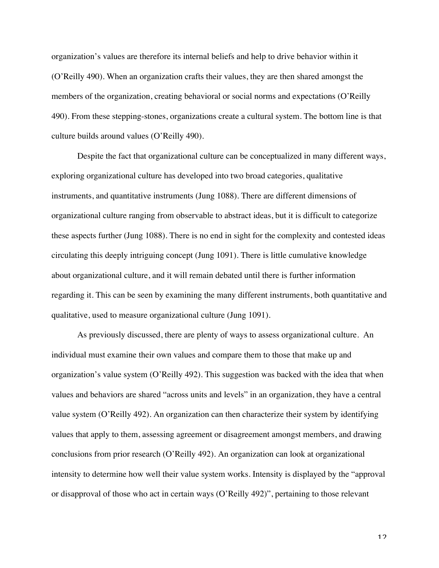organization's values are therefore its internal beliefs and help to drive behavior within it (O'Reilly 490). When an organization crafts their values, they are then shared amongst the members of the organization, creating behavioral or social norms and expectations (O'Reilly 490). From these stepping-stones, organizations create a cultural system. The bottom line is that culture builds around values (O'Reilly 490).

Despite the fact that organizational culture can be conceptualized in many different ways, exploring organizational culture has developed into two broad categories, qualitative instruments, and quantitative instruments (Jung 1088). There are different dimensions of organizational culture ranging from observable to abstract ideas, but it is difficult to categorize these aspects further (Jung 1088). There is no end in sight for the complexity and contested ideas circulating this deeply intriguing concept (Jung 1091). There is little cumulative knowledge about organizational culture, and it will remain debated until there is further information regarding it. This can be seen by examining the many different instruments, both quantitative and qualitative, used to measure organizational culture (Jung 1091).

As previously discussed, there are plenty of ways to assess organizational culture. An individual must examine their own values and compare them to those that make up and organization's value system (O'Reilly 492). This suggestion was backed with the idea that when values and behaviors are shared "across units and levels" in an organization, they have a central value system (O'Reilly 492). An organization can then characterize their system by identifying values that apply to them, assessing agreement or disagreement amongst members, and drawing conclusions from prior research (O'Reilly 492). An organization can look at organizational intensity to determine how well their value system works. Intensity is displayed by the "approval or disapproval of those who act in certain ways (O'Reilly 492)", pertaining to those relevant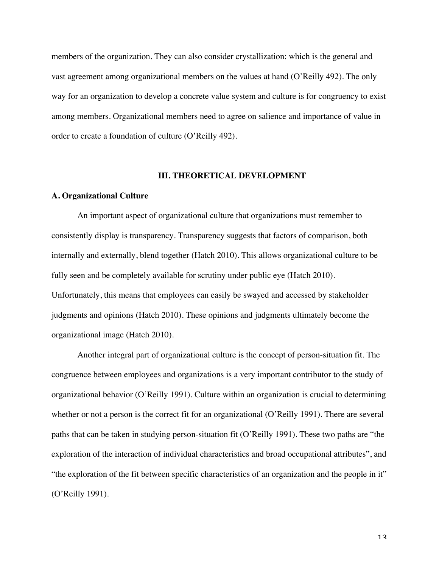members of the organization. They can also consider crystallization: which is the general and vast agreement among organizational members on the values at hand (O'Reilly 492). The only way for an organization to develop a concrete value system and culture is for congruency to exist among members. Organizational members need to agree on salience and importance of value in order to create a foundation of culture (O'Reilly 492).

#### **III. THEORETICAL DEVELOPMENT**

#### **A. Organizational Culture**

An important aspect of organizational culture that organizations must remember to consistently display is transparency. Transparency suggests that factors of comparison, both internally and externally, blend together (Hatch 2010). This allows organizational culture to be fully seen and be completely available for scrutiny under public eye (Hatch 2010). Unfortunately, this means that employees can easily be swayed and accessed by stakeholder judgments and opinions (Hatch 2010). These opinions and judgments ultimately become the organizational image (Hatch 2010).

Another integral part of organizational culture is the concept of person-situation fit. The congruence between employees and organizations is a very important contributor to the study of organizational behavior (O'Reilly 1991). Culture within an organization is crucial to determining whether or not a person is the correct fit for an organizational (O'Reilly 1991). There are several paths that can be taken in studying person-situation fit (O'Reilly 1991). These two paths are "the exploration of the interaction of individual characteristics and broad occupational attributes", and "the exploration of the fit between specific characteristics of an organization and the people in it" (O'Reilly 1991).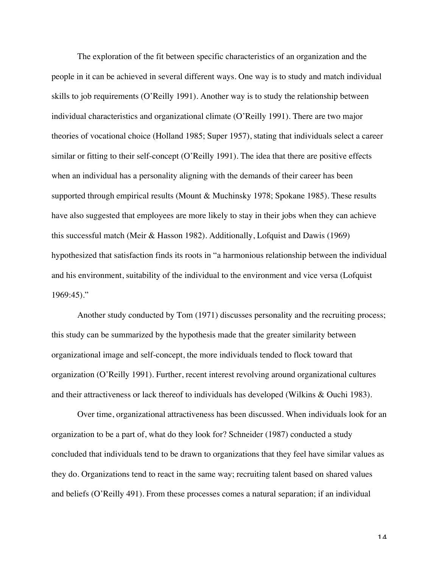The exploration of the fit between specific characteristics of an organization and the people in it can be achieved in several different ways. One way is to study and match individual skills to job requirements (O'Reilly 1991). Another way is to study the relationship between individual characteristics and organizational climate (O'Reilly 1991). There are two major theories of vocational choice (Holland 1985; Super 1957), stating that individuals select a career similar or fitting to their self-concept (O'Reilly 1991). The idea that there are positive effects when an individual has a personality aligning with the demands of their career has been supported through empirical results (Mount & Muchinsky 1978; Spokane 1985). These results have also suggested that employees are more likely to stay in their jobs when they can achieve this successful match (Meir & Hasson 1982). Additionally, Lofquist and Dawis (1969) hypothesized that satisfaction finds its roots in "a harmonious relationship between the individual and his environment, suitability of the individual to the environment and vice versa (Lofquist 1969:45)."

Another study conducted by Tom (1971) discusses personality and the recruiting process; this study can be summarized by the hypothesis made that the greater similarity between organizational image and self-concept, the more individuals tended to flock toward that organization (O'Reilly 1991). Further, recent interest revolving around organizational cultures and their attractiveness or lack thereof to individuals has developed (Wilkins & Ouchi 1983).

Over time, organizational attractiveness has been discussed. When individuals look for an organization to be a part of, what do they look for? Schneider (1987) conducted a study concluded that individuals tend to be drawn to organizations that they feel have similar values as they do. Organizations tend to react in the same way; recruiting talent based on shared values and beliefs (O'Reilly 491). From these processes comes a natural separation; if an individual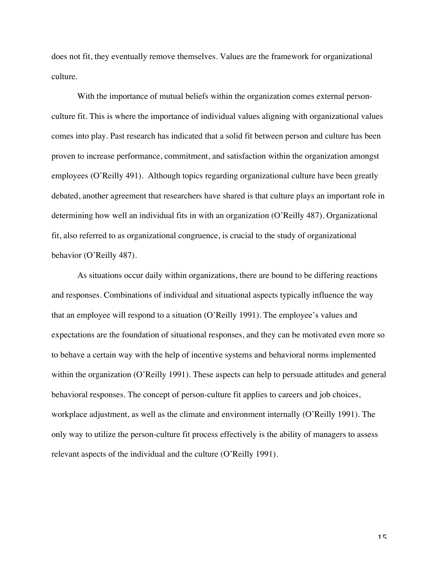does not fit, they eventually remove themselves. Values are the framework for organizational culture.

With the importance of mutual beliefs within the organization comes external personculture fit. This is where the importance of individual values aligning with organizational values comes into play. Past research has indicated that a solid fit between person and culture has been proven to increase performance, commitment, and satisfaction within the organization amongst employees (O'Reilly 491). Although topics regarding organizational culture have been greatly debated, another agreement that researchers have shared is that culture plays an important role in determining how well an individual fits in with an organization (O'Reilly 487). Organizational fit, also referred to as organizational congruence, is crucial to the study of organizational behavior (O'Reilly 487).

As situations occur daily within organizations, there are bound to be differing reactions and responses. Combinations of individual and situational aspects typically influence the way that an employee will respond to a situation (O'Reilly 1991). The employee's values and expectations are the foundation of situational responses, and they can be motivated even more so to behave a certain way with the help of incentive systems and behavioral norms implemented within the organization (O'Reilly 1991). These aspects can help to persuade attitudes and general behavioral responses. The concept of person-culture fit applies to careers and job choices, workplace adjustment, as well as the climate and environment internally (O'Reilly 1991). The only way to utilize the person-culture fit process effectively is the ability of managers to assess relevant aspects of the individual and the culture (O'Reilly 1991).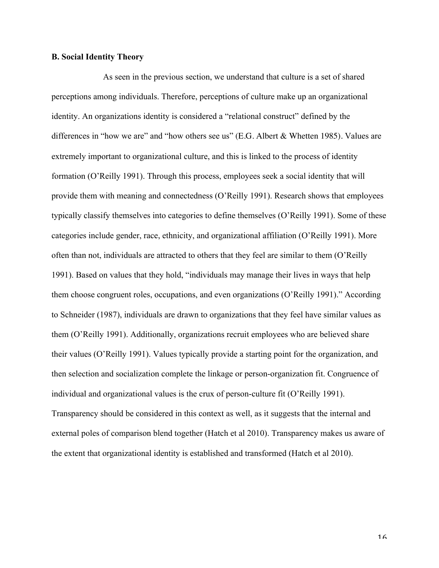#### **B. Social Identity Theory**

As seen in the previous section, we understand that culture is a set of shared perceptions among individuals. Therefore, perceptions of culture make up an organizational identity. An organizations identity is considered a "relational construct" defined by the differences in "how we are" and "how others see us" (E.G. Albert & Whetten 1985). Values are extremely important to organizational culture, and this is linked to the process of identity formation (O'Reilly 1991). Through this process, employees seek a social identity that will provide them with meaning and connectedness (O'Reilly 1991). Research shows that employees typically classify themselves into categories to define themselves (O'Reilly 1991). Some of these categories include gender, race, ethnicity, and organizational affiliation (O'Reilly 1991). More often than not, individuals are attracted to others that they feel are similar to them (O'Reilly 1991). Based on values that they hold, "individuals may manage their lives in ways that help them choose congruent roles, occupations, and even organizations (O'Reilly 1991)." According to Schneider (1987), individuals are drawn to organizations that they feel have similar values as them (O'Reilly 1991). Additionally, organizations recruit employees who are believed share their values (O'Reilly 1991). Values typically provide a starting point for the organization, and then selection and socialization complete the linkage or person-organization fit. Congruence of individual and organizational values is the crux of person-culture fit (O'Reilly 1991). Transparency should be considered in this context as well, as it suggests that the internal and external poles of comparison blend together (Hatch et al 2010). Transparency makes us aware of the extent that organizational identity is established and transformed (Hatch et al 2010).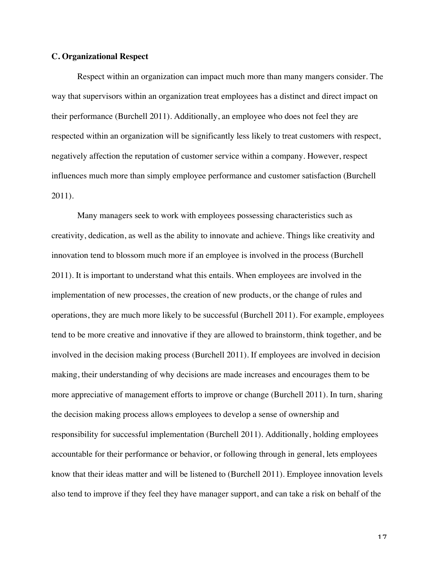#### **C. Organizational Respect**

Respect within an organization can impact much more than many mangers consider. The way that supervisors within an organization treat employees has a distinct and direct impact on their performance (Burchell 2011). Additionally, an employee who does not feel they are respected within an organization will be significantly less likely to treat customers with respect, negatively affection the reputation of customer service within a company. However, respect influences much more than simply employee performance and customer satisfaction (Burchell 2011).

Many managers seek to work with employees possessing characteristics such as creativity, dedication, as well as the ability to innovate and achieve. Things like creativity and innovation tend to blossom much more if an employee is involved in the process (Burchell 2011). It is important to understand what this entails. When employees are involved in the implementation of new processes, the creation of new products, or the change of rules and operations, they are much more likely to be successful (Burchell 2011). For example, employees tend to be more creative and innovative if they are allowed to brainstorm, think together, and be involved in the decision making process (Burchell 2011). If employees are involved in decision making, their understanding of why decisions are made increases and encourages them to be more appreciative of management efforts to improve or change (Burchell 2011). In turn, sharing the decision making process allows employees to develop a sense of ownership and responsibility for successful implementation (Burchell 2011). Additionally, holding employees accountable for their performance or behavior, or following through in general, lets employees know that their ideas matter and will be listened to (Burchell 2011). Employee innovation levels also tend to improve if they feel they have manager support, and can take a risk on behalf of the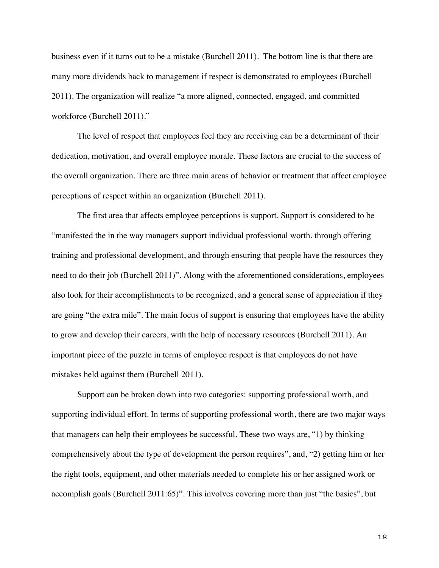business even if it turns out to be a mistake (Burchell 2011). The bottom line is that there are many more dividends back to management if respect is demonstrated to employees (Burchell 2011). The organization will realize "a more aligned, connected, engaged, and committed workforce (Burchell 2011)."

The level of respect that employees feel they are receiving can be a determinant of their dedication, motivation, and overall employee morale. These factors are crucial to the success of the overall organization. There are three main areas of behavior or treatment that affect employee perceptions of respect within an organization (Burchell 2011).

The first area that affects employee perceptions is support. Support is considered to be "manifested the in the way managers support individual professional worth, through offering training and professional development, and through ensuring that people have the resources they need to do their job (Burchell 2011)". Along with the aforementioned considerations, employees also look for their accomplishments to be recognized, and a general sense of appreciation if they are going "the extra mile". The main focus of support is ensuring that employees have the ability to grow and develop their careers, with the help of necessary resources (Burchell 2011). An important piece of the puzzle in terms of employee respect is that employees do not have mistakes held against them (Burchell 2011).

Support can be broken down into two categories: supporting professional worth, and supporting individual effort. In terms of supporting professional worth, there are two major ways that managers can help their employees be successful. These two ways are, "1) by thinking comprehensively about the type of development the person requires", and, "2) getting him or her the right tools, equipment, and other materials needed to complete his or her assigned work or accomplish goals (Burchell 2011:65)". This involves covering more than just "the basics", but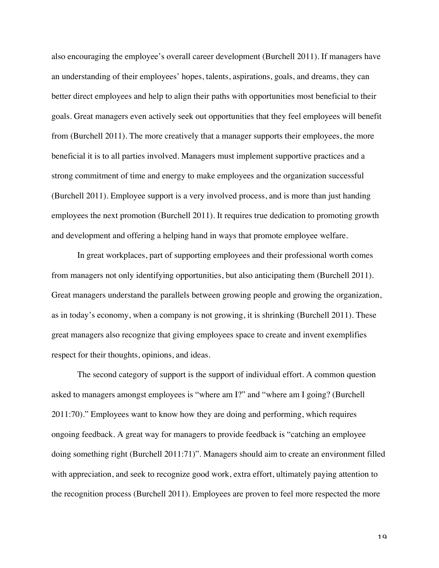also encouraging the employee's overall career development (Burchell 2011). If managers have an understanding of their employees' hopes, talents, aspirations, goals, and dreams, they can better direct employees and help to align their paths with opportunities most beneficial to their goals. Great managers even actively seek out opportunities that they feel employees will benefit from (Burchell 2011). The more creatively that a manager supports their employees, the more beneficial it is to all parties involved. Managers must implement supportive practices and a strong commitment of time and energy to make employees and the organization successful (Burchell 2011). Employee support is a very involved process, and is more than just handing employees the next promotion (Burchell 2011). It requires true dedication to promoting growth and development and offering a helping hand in ways that promote employee welfare.

In great workplaces, part of supporting employees and their professional worth comes from managers not only identifying opportunities, but also anticipating them (Burchell 2011). Great managers understand the parallels between growing people and growing the organization, as in today's economy, when a company is not growing, it is shrinking (Burchell 2011). These great managers also recognize that giving employees space to create and invent exemplifies respect for their thoughts, opinions, and ideas.

The second category of support is the support of individual effort. A common question asked to managers amongst employees is "where am I?" and "where am I going? (Burchell 2011:70)." Employees want to know how they are doing and performing, which requires ongoing feedback. A great way for managers to provide feedback is "catching an employee doing something right (Burchell 2011:71)". Managers should aim to create an environment filled with appreciation, and seek to recognize good work, extra effort, ultimately paying attention to the recognition process (Burchell 2011). Employees are proven to feel more respected the more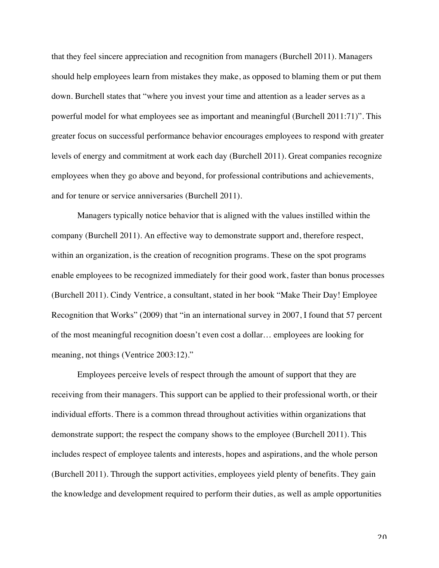that they feel sincere appreciation and recognition from managers (Burchell 2011). Managers should help employees learn from mistakes they make, as opposed to blaming them or put them down. Burchell states that "where you invest your time and attention as a leader serves as a powerful model for what employees see as important and meaningful (Burchell 2011:71)". This greater focus on successful performance behavior encourages employees to respond with greater levels of energy and commitment at work each day (Burchell 2011). Great companies recognize employees when they go above and beyond, for professional contributions and achievements, and for tenure or service anniversaries (Burchell 2011).

Managers typically notice behavior that is aligned with the values instilled within the company (Burchell 2011). An effective way to demonstrate support and, therefore respect, within an organization, is the creation of recognition programs. These on the spot programs enable employees to be recognized immediately for their good work, faster than bonus processes (Burchell 2011). Cindy Ventrice, a consultant, stated in her book "Make Their Day! Employee Recognition that Works" (2009) that "in an international survey in 2007, I found that 57 percent of the most meaningful recognition doesn't even cost a dollar… employees are looking for meaning, not things (Ventrice 2003:12)."

Employees perceive levels of respect through the amount of support that they are receiving from their managers. This support can be applied to their professional worth, or their individual efforts. There is a common thread throughout activities within organizations that demonstrate support; the respect the company shows to the employee (Burchell 2011). This includes respect of employee talents and interests, hopes and aspirations, and the whole person (Burchell 2011). Through the support activities, employees yield plenty of benefits. They gain the knowledge and development required to perform their duties, as well as ample opportunities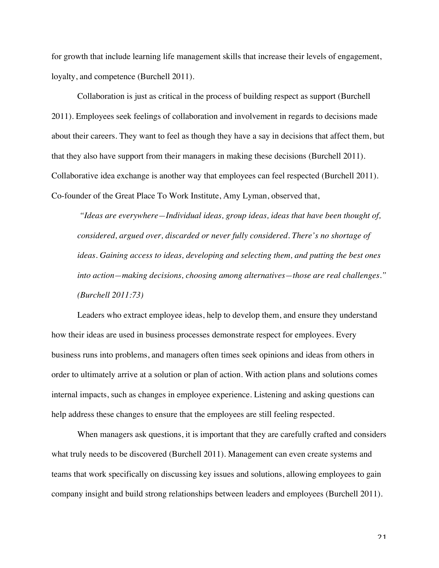for growth that include learning life management skills that increase their levels of engagement, loyalty, and competence (Burchell 2011).

Collaboration is just as critical in the process of building respect as support (Burchell 2011). Employees seek feelings of collaboration and involvement in regards to decisions made about their careers. They want to feel as though they have a say in decisions that affect them, but that they also have support from their managers in making these decisions (Burchell 2011). Collaborative idea exchange is another way that employees can feel respected (Burchell 2011). Co-founder of the Great Place To Work Institute, Amy Lyman, observed that,

*"Ideas are everywhere—Individual ideas, group ideas, ideas that have been thought of, considered, argued over, discarded or never fully considered. There's no shortage of ideas. Gaining access to ideas, developing and selecting them, and putting the best ones into action—making decisions, choosing among alternatives—those are real challenges." (Burchell 2011:73)*

Leaders who extract employee ideas, help to develop them, and ensure they understand how their ideas are used in business processes demonstrate respect for employees. Every business runs into problems, and managers often times seek opinions and ideas from others in order to ultimately arrive at a solution or plan of action. With action plans and solutions comes internal impacts, such as changes in employee experience. Listening and asking questions can help address these changes to ensure that the employees are still feeling respected.

When managers ask questions, it is important that they are carefully crafted and considers what truly needs to be discovered (Burchell 2011). Management can even create systems and teams that work specifically on discussing key issues and solutions, allowing employees to gain company insight and build strong relationships between leaders and employees (Burchell 2011).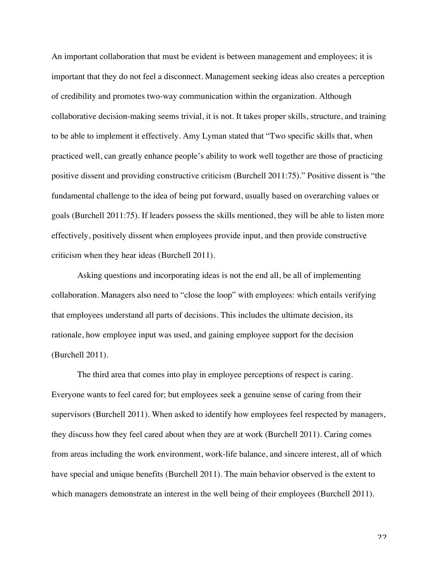An important collaboration that must be evident is between management and employees; it is important that they do not feel a disconnect. Management seeking ideas also creates a perception of credibility and promotes two-way communication within the organization. Although collaborative decision-making seems trivial, it is not. It takes proper skills, structure, and training to be able to implement it effectively. Amy Lyman stated that "Two specific skills that, when practiced well, can greatly enhance people's ability to work well together are those of practicing positive dissent and providing constructive criticism (Burchell 2011:75)." Positive dissent is "the fundamental challenge to the idea of being put forward, usually based on overarching values or goals (Burchell 2011:75). If leaders possess the skills mentioned, they will be able to listen more effectively, positively dissent when employees provide input, and then provide constructive criticism when they hear ideas (Burchell 2011).

Asking questions and incorporating ideas is not the end all, be all of implementing collaboration. Managers also need to "close the loop" with employees: which entails verifying that employees understand all parts of decisions. This includes the ultimate decision, its rationale, how employee input was used, and gaining employee support for the decision (Burchell 2011).

The third area that comes into play in employee perceptions of respect is caring. Everyone wants to feel cared for; but employees seek a genuine sense of caring from their supervisors (Burchell 2011). When asked to identify how employees feel respected by managers, they discuss how they feel cared about when they are at work (Burchell 2011). Caring comes from areas including the work environment, work-life balance, and sincere interest, all of which have special and unique benefits (Burchell 2011). The main behavior observed is the extent to which managers demonstrate an interest in the well being of their employees (Burchell 2011).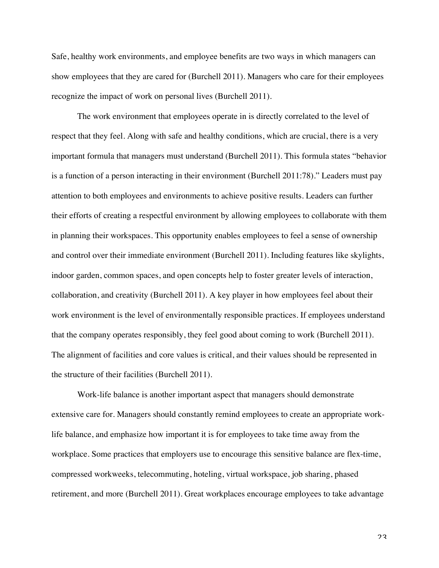Safe, healthy work environments, and employee benefits are two ways in which managers can show employees that they are cared for (Burchell 2011). Managers who care for their employees recognize the impact of work on personal lives (Burchell 2011).

The work environment that employees operate in is directly correlated to the level of respect that they feel. Along with safe and healthy conditions, which are crucial, there is a very important formula that managers must understand (Burchell 2011). This formula states "behavior is a function of a person interacting in their environment (Burchell 2011:78)." Leaders must pay attention to both employees and environments to achieve positive results. Leaders can further their efforts of creating a respectful environment by allowing employees to collaborate with them in planning their workspaces. This opportunity enables employees to feel a sense of ownership and control over their immediate environment (Burchell 2011). Including features like skylights, indoor garden, common spaces, and open concepts help to foster greater levels of interaction, collaboration, and creativity (Burchell 2011). A key player in how employees feel about their work environment is the level of environmentally responsible practices. If employees understand that the company operates responsibly, they feel good about coming to work (Burchell 2011). The alignment of facilities and core values is critical, and their values should be represented in the structure of their facilities (Burchell 2011).

Work-life balance is another important aspect that managers should demonstrate extensive care for. Managers should constantly remind employees to create an appropriate worklife balance, and emphasize how important it is for employees to take time away from the workplace. Some practices that employers use to encourage this sensitive balance are flex-time, compressed workweeks, telecommuting, hoteling, virtual workspace, job sharing, phased retirement, and more (Burchell 2011). Great workplaces encourage employees to take advantage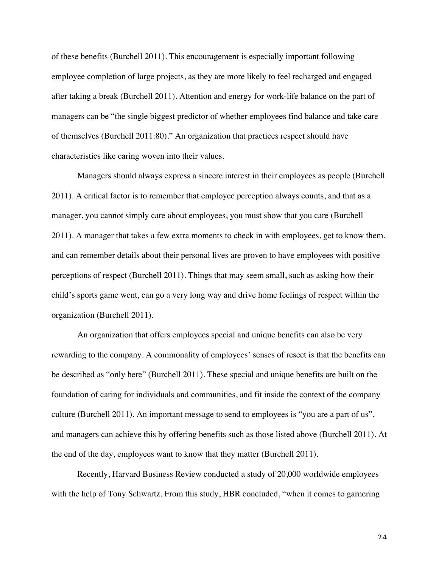of these benefits (Burchell 2011). This encouragement is especially important following employee completion of large projects, as they are more likely to feel recharged and engaged after taking a break (Burchell 2011). Attention and energy for work-life balance on the part of managers can be "the single biggest predictor of whether employees find balance and take care of themselves (Burchell 2011:80)." An organization that practices respect should have characteristics like caring woven into their values.

Managers should always express a sincere interest in their employees as people (Burchell 2011). A critical factor is to remember that employee perception always counts, and that as a manager, you cannot simply care about employees, you must show that you care (Burchell 2011). A manager that takes a few extra moments to check in with employees, get to know them, and can remember details about their personal lives are proven to have employees with positive perceptions of respect (Burchell 2011). Things that may seem small, such as asking how their child's sports game went, can go a very long way and drive home feelings of respect within the organization (Burchell 2011).

An organization that offers employees special and unique benefits can also be very rewarding to the company. A commonality of employees' senses of resect is that the benefits can be described as "only here" (Burchell 2011). These special and unique benefits are built on the foundation of caring for individuals and communities, and fit inside the context of the company culture (Burchell 2011). An important message to send to employees is "you are a part of us", and managers can achieve this by offering benefits such as those listed above (Burchell 2011). At the end of the day, employees want to know that they matter (Burchell 2011).

Recently, Harvard Business Review conducted a study of 20,000 worldwide employees with the help of Tony Schwartz. From this study, HBR concluded, "when it comes to garnering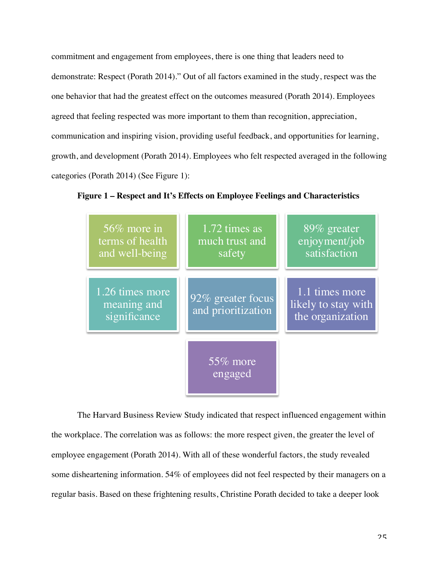commitment and engagement from employees, there is one thing that leaders need to demonstrate: Respect (Porath 2014)." Out of all factors examined in the study, respect was the one behavior that had the greatest effect on the outcomes measured (Porath 2014). Employees agreed that feeling respected was more important to them than recognition, appreciation, communication and inspiring vision, providing useful feedback, and opportunities for learning, growth, and development (Porath 2014). Employees who felt respected averaged in the following categories (Porath 2014) (See Figure 1):



**Figure 1 – Respect and It's Effects on Employee Feelings and Characteristics** 

The Harvard Business Review Study indicated that respect influenced engagement within the workplace. The correlation was as follows: the more respect given, the greater the level of employee engagement (Porath 2014). With all of these wonderful factors, the study revealed some disheartening information. 54% of employees did not feel respected by their managers on a regular basis. Based on these frightening results, Christine Porath decided to take a deeper look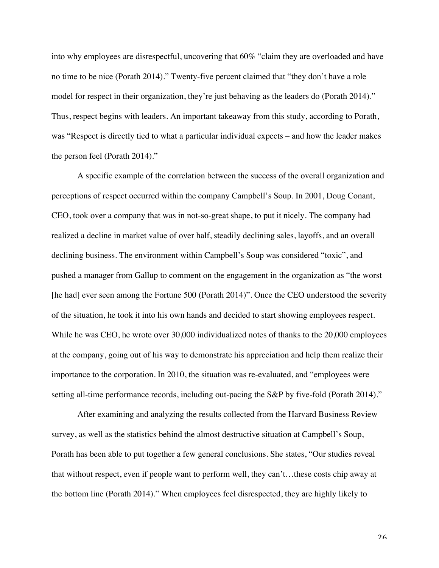into why employees are disrespectful, uncovering that 60% "claim they are overloaded and have no time to be nice (Porath 2014)." Twenty-five percent claimed that "they don't have a role model for respect in their organization, they're just behaving as the leaders do (Porath 2014)." Thus, respect begins with leaders. An important takeaway from this study, according to Porath, was "Respect is directly tied to what a particular individual expects – and how the leader makes the person feel (Porath 2014)."

A specific example of the correlation between the success of the overall organization and perceptions of respect occurred within the company Campbell's Soup. In 2001, Doug Conant, CEO, took over a company that was in not-so-great shape, to put it nicely. The company had realized a decline in market value of over half, steadily declining sales, layoffs, and an overall declining business. The environment within Campbell's Soup was considered "toxic", and pushed a manager from Gallup to comment on the engagement in the organization as "the worst [he had] ever seen among the Fortune 500 (Porath 2014)". Once the CEO understood the severity of the situation, he took it into his own hands and decided to start showing employees respect. While he was CEO, he wrote over 30,000 individualized notes of thanks to the 20,000 employees at the company, going out of his way to demonstrate his appreciation and help them realize their importance to the corporation. In 2010, the situation was re-evaluated, and "employees were setting all-time performance records, including out-pacing the S&P by five-fold (Porath 2014)."

After examining and analyzing the results collected from the Harvard Business Review survey, as well as the statistics behind the almost destructive situation at Campbell's Soup, Porath has been able to put together a few general conclusions. She states, "Our studies reveal that without respect, even if people want to perform well, they can't…these costs chip away at the bottom line (Porath 2014)." When employees feel disrespected, they are highly likely to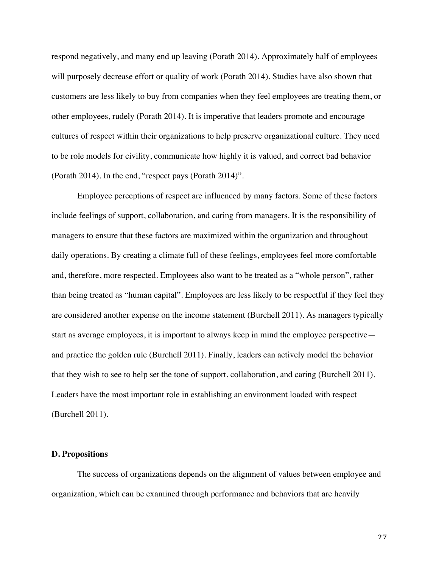respond negatively, and many end up leaving (Porath 2014). Approximately half of employees will purposely decrease effort or quality of work (Porath 2014). Studies have also shown that customers are less likely to buy from companies when they feel employees are treating them, or other employees, rudely (Porath 2014). It is imperative that leaders promote and encourage cultures of respect within their organizations to help preserve organizational culture. They need to be role models for civility, communicate how highly it is valued, and correct bad behavior (Porath 2014). In the end, "respect pays (Porath 2014)".

Employee perceptions of respect are influenced by many factors. Some of these factors include feelings of support, collaboration, and caring from managers. It is the responsibility of managers to ensure that these factors are maximized within the organization and throughout daily operations. By creating a climate full of these feelings, employees feel more comfortable and, therefore, more respected. Employees also want to be treated as a "whole person", rather than being treated as "human capital". Employees are less likely to be respectful if they feel they are considered another expense on the income statement (Burchell 2011). As managers typically start as average employees, it is important to always keep in mind the employee perspective and practice the golden rule (Burchell 2011). Finally, leaders can actively model the behavior that they wish to see to help set the tone of support, collaboration, and caring (Burchell 2011). Leaders have the most important role in establishing an environment loaded with respect (Burchell 2011).

#### **D. Propositions**

The success of organizations depends on the alignment of values between employee and organization, which can be examined through performance and behaviors that are heavily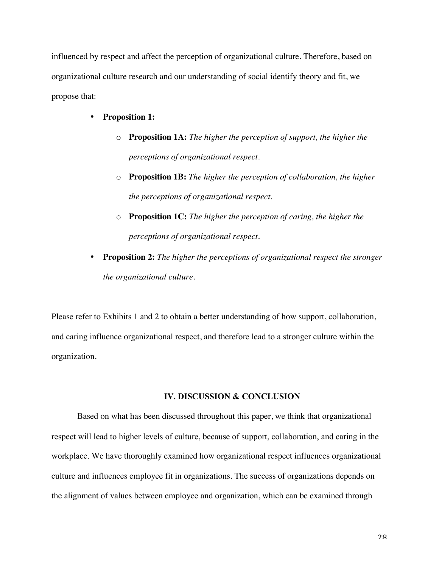influenced by respect and affect the perception of organizational culture. Therefore, based on organizational culture research and our understanding of social identify theory and fit, we propose that:

- **Proposition 1:**
	- o **Proposition 1A:** *The higher the perception of support, the higher the perceptions of organizational respect.*
	- o **Proposition 1B:** *The higher the perception of collaboration, the higher the perceptions of organizational respect.*
	- o **Proposition 1C:** *The higher the perception of caring, the higher the perceptions of organizational respect.*
- **Proposition 2:** *The higher the perceptions of organizational respect the stronger the organizational culture.*

Please refer to Exhibits 1 and 2 to obtain a better understanding of how support, collaboration, and caring influence organizational respect, and therefore lead to a stronger culture within the organization.

#### **IV. DISCUSSION & CONCLUSION**

Based on what has been discussed throughout this paper, we think that organizational respect will lead to higher levels of culture, because of support, collaboration, and caring in the workplace. We have thoroughly examined how organizational respect influences organizational culture and influences employee fit in organizations. The success of organizations depends on the alignment of values between employee and organization, which can be examined through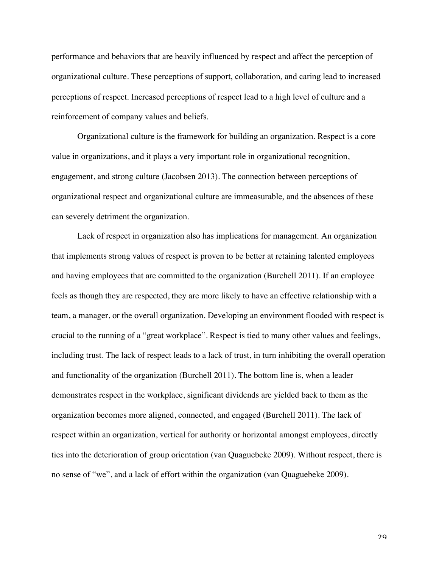performance and behaviors that are heavily influenced by respect and affect the perception of organizational culture. These perceptions of support, collaboration, and caring lead to increased perceptions of respect. Increased perceptions of respect lead to a high level of culture and a reinforcement of company values and beliefs.

Organizational culture is the framework for building an organization. Respect is a core value in organizations, and it plays a very important role in organizational recognition, engagement, and strong culture (Jacobsen 2013). The connection between perceptions of organizational respect and organizational culture are immeasurable, and the absences of these can severely detriment the organization.

Lack of respect in organization also has implications for management. An organization that implements strong values of respect is proven to be better at retaining talented employees and having employees that are committed to the organization (Burchell 2011). If an employee feels as though they are respected, they are more likely to have an effective relationship with a team, a manager, or the overall organization. Developing an environment flooded with respect is crucial to the running of a "great workplace". Respect is tied to many other values and feelings, including trust. The lack of respect leads to a lack of trust, in turn inhibiting the overall operation and functionality of the organization (Burchell 2011). The bottom line is, when a leader demonstrates respect in the workplace, significant dividends are yielded back to them as the organization becomes more aligned, connected, and engaged (Burchell 2011). The lack of respect within an organization, vertical for authority or horizontal amongst employees, directly ties into the deterioration of group orientation (van Quaguebeke 2009). Without respect, there is no sense of "we", and a lack of effort within the organization (van Quaguebeke 2009).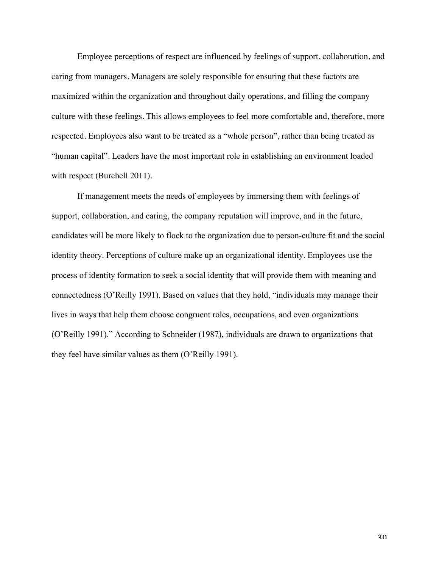Employee perceptions of respect are influenced by feelings of support, collaboration, and caring from managers. Managers are solely responsible for ensuring that these factors are maximized within the organization and throughout daily operations, and filling the company culture with these feelings. This allows employees to feel more comfortable and, therefore, more respected. Employees also want to be treated as a "whole person", rather than being treated as "human capital". Leaders have the most important role in establishing an environment loaded with respect (Burchell 2011).

If management meets the needs of employees by immersing them with feelings of support, collaboration, and caring, the company reputation will improve, and in the future, candidates will be more likely to flock to the organization due to person-culture fit and the social identity theory. Perceptions of culture make up an organizational identity. Employees use the process of identity formation to seek a social identity that will provide them with meaning and connectedness (O'Reilly 1991). Based on values that they hold, "individuals may manage their lives in ways that help them choose congruent roles, occupations, and even organizations (O'Reilly 1991)." According to Schneider (1987), individuals are drawn to organizations that they feel have similar values as them (O'Reilly 1991).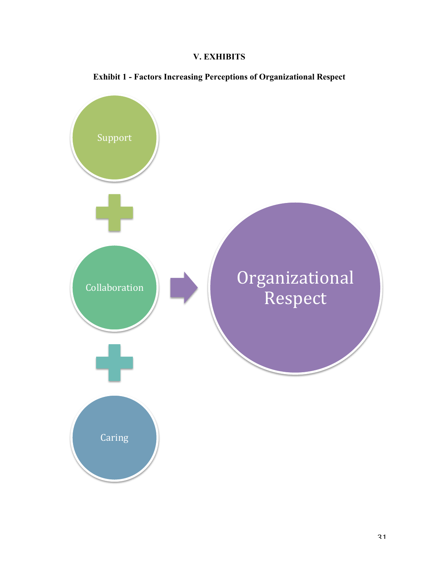### **V. EXHIBITS**



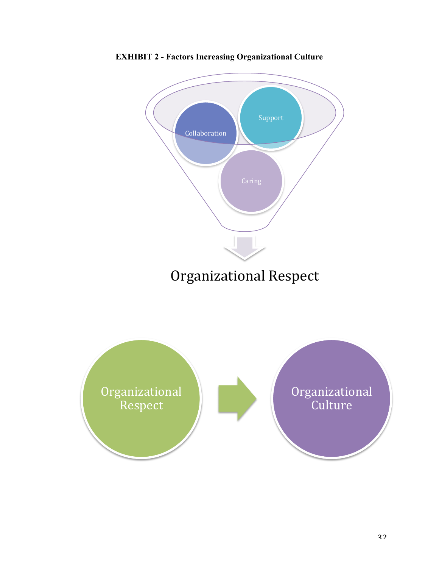

**EXHIBIT 2 - Factors Increasing Organizational Culture**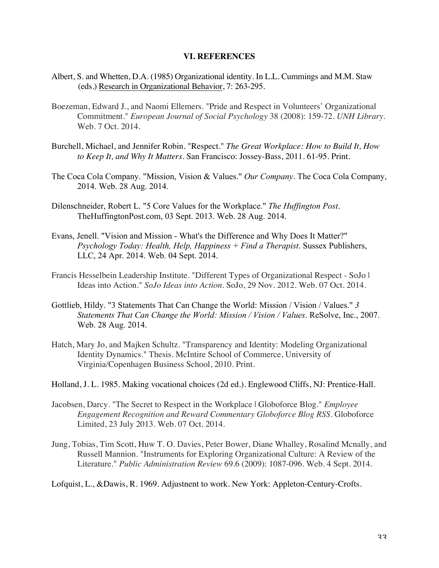#### **VI. REFERENCES**

- Albert, S. and Whetten, D.A. (1985) Organizational identity. In L.L. Cummings and M.M. Staw (eds.) Research in Organizational Behavior, 7: 263-295.
- Boezeman, Edward J., and Naomi Ellemers. "Pride and Respect in Volunteers' Organizational Commitment." *European Journal of Social Psychology* 38 (2008): 159-72. *UNH Library*. Web. 7 Oct. 2014.
- Burchell, Michael, and Jennifer Robin. "Respect." *The Great Workplace: How to Build It, How to Keep It, and Why It Matters*. San Francisco: Jossey-Bass, 2011. 61-95. Print.
- The Coca Cola Company. "Mission, Vision & Values." *Our Company*. The Coca Cola Company, 2014. Web. 28 Aug. 2014.
- Dilenschneider, Robert L. "5 Core Values for the Workplace." *The Huffington Post*. TheHuffingtonPost.com, 03 Sept. 2013. Web. 28 Aug. 2014.
- Evans, Jenell. "Vision and Mission What's the Difference and Why Does It Matter?" *Psychology Today: Health, Help, Happiness + Find a Therapist*. Sussex Publishers, LLC, 24 Apr. 2014. Web. 04 Sept. 2014.
- Francis Hesselbein Leadership Institute. "Different Types of Organizational Respect SoJo | Ideas into Action." *SoJo Ideas into Action*. SoJo, 29 Nov. 2012. Web. 07 Oct. 2014.
- Gottlieb, Hildy. "3 Statements That Can Change the World: Mission / Vision / Values." *3 Statements That Can Change the World: Mission / Vision / Values*. ReSolve, Inc., 2007. Web. 28 Aug. 2014.
- Hatch, Mary Jo, and Majken Schultz. "Transparency and Identity: Modeling Organizational Identity Dynamics." Thesis. McIntire School of Commerce, University of Virginia/Copenhagen Business School, 2010. Print.
- Holland, J. L. 1985. Making vocational choices (2d ed.). Englewood Cliffs, NJ: Prentice-Hall.
- Jacobsen, Darcy. "The Secret to Respect in the Workplace | Globoforce Blog." *Employee Engagement Recognition and Reward Commentary Globoforce Blog RSS*. Globoforce Limited, 23 July 2013. Web. 07 Oct. 2014.
- Jung, Tobias, Tim Scott, Huw T. O. Davies, Peter Bower, Diane Whalley, Rosalind Mcnally, and Russell Mannion. "Instruments for Exploring Organizational Culture: A Review of the Literature." *Public Administration Review* 69.6 (2009): 1087-096. Web. 4 Sept. 2014.

Lofquist, L., &Dawis, R. 1969. Adjustnent to work. New York: Appleton-Century-Crofts.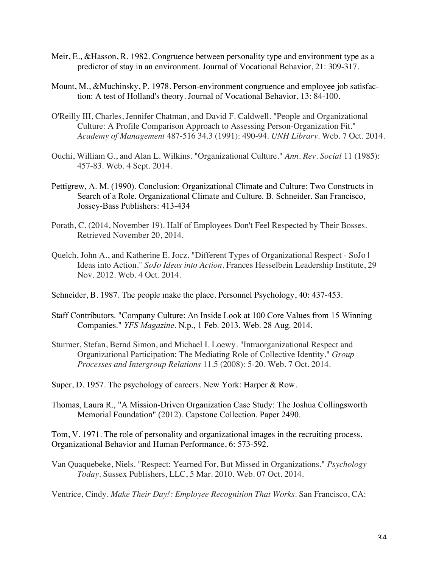- Meir, E., &Hasson, R. 1982. Congruence between personality type and environment type as a predictor of stay in an environment. Journal of Vocational Behavior, 21: 309-317.
- Mount, M., &Muchinsky, P. 1978. Person-environment congruence and employee job satisfaction: A test of Holland's theory. Journal of Vocational Behavior, 13: 84-100.
- O'Reilly III, Charles, Jennifer Chatman, and David F. Caldwell. "People and Organizational Culture: A Profile Comparison Approach to Assessing Person-Organization Fit." *Academy of Management* 487-516 34.3 (1991): 490-94. *UNH Library*. Web. 7 Oct. 2014.
- Ouchi, William G., and Alan L. Wilkins. "Organizational Culture." *Ann. Rev. Social* 11 (1985): 457-83. Web. 4 Sept. 2014.
- Pettigrew, A. M. (1990). Conclusion: Organizational Climate and Culture: Two Constructs in Search of a Role. Organizational Climate and Culture. B. Schneider. San Francisco, Jossey-Bass Publishers: 413-434
- Porath, C. (2014, November 19). Half of Employees Don't Feel Respected by Their Bosses. Retrieved November 20, 2014.
- Quelch, John A., and Katherine E. Jocz. "Different Types of Organizational Respect SoJo | Ideas into Action." *SoJo Ideas into Action*. Frances Hesselbein Leadership Institute, 29 Nov. 2012. Web. 4 Oct. 2014.
- Schneider, B. 1987. The people make the place. Personnel Psychology, 40: 437-453.
- Staff Contributors. "Company Culture: An Inside Look at 100 Core Values from 15 Winning Companies." *YFS Magazine*. N.p., 1 Feb. 2013. Web. 28 Aug. 2014.
- Sturmer, Stefan, Bernd Simon, and Michael I. Loewy. "Intraorganizational Respect and Organizational Participation: The Mediating Role of Collective Identity." *Group Processes and Intergroup Relations* 11.5 (2008): 5-20. Web. 7 Oct. 2014.
- Super, D. 1957. The psychology of careers. New York: Harper & Row.
- Thomas, Laura R., "A Mission-Driven Organization Case Study: The Joshua Collingsworth Memorial Foundation" (2012). Capstone Collection. Paper 2490.

Tom, V. 1971. The role of personality and organizational images in the recruiting process. Organizational Behavior and Human Performance, 6: 573-592.

Van Quaquebeke, Niels. "Respect: Yearned For, But Missed in Organizations." *Psychology Today*. Sussex Publishers, LLC, 5 Mar. 2010. Web. 07 Oct. 2014.

Ventrice, Cindy. *Make Their Day!: Employee Recognition That Works*. San Francisco, CA: